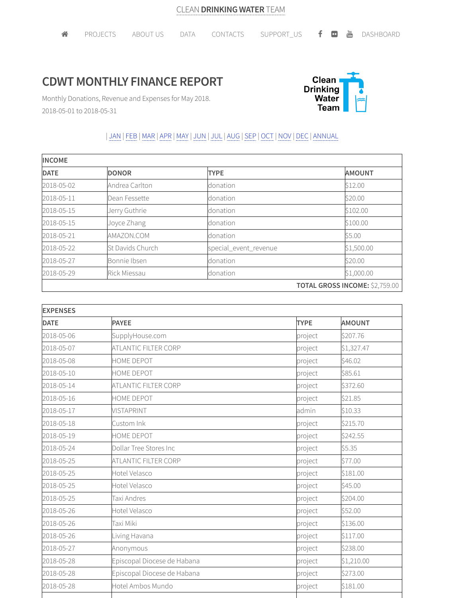## **CDWT MONTHLY FINANCE REPORT**



Monthly Donations, Revenue and Expenses for May 2018. 2018-05-01 to 2018-05-31

## | JAN | FEB |MAR |APR |MAY | JUN | JUL | AUG |SEP | OCT | NOV | DEC | ANNUAL

| <b>INCOME</b> |                  |                       |                                |  |
|---------------|------------------|-----------------------|--------------------------------|--|
| <b>DATE</b>   | <b>DONOR</b>     | <b>TYPE</b>           | <b>AMOUNT</b>                  |  |
| 2018-05-02    | Andrea Carlton   | donation              | \$12.00                        |  |
| 2018-05-11    | Dean Fessette    | donation              | \$20.00                        |  |
| 2018-05-15    | Jerry Guthrie    | donation              | \$102.00                       |  |
| 2018-05-15    | Joyce Zhang      | donation              | \$100.00                       |  |
| 2018-05-21    | AMAZON.COM       | donation              | \$5.00                         |  |
| 2018-05-22    | St Davids Church | special_event_revenue | \$1,500.00                     |  |
| 2018-05-27    | Bonnie Ibsen     | donation              | \$20.00                        |  |
| 2018-05-29    | Rick Miessau     | donation              | \$1,000.00                     |  |
|               |                  |                       | TOTAL GROSS INCOME: \$2,759.00 |  |

| <b>EXPENSES</b> |                             |             |               |
|-----------------|-----------------------------|-------------|---------------|
| <b>DATE</b>     | <b>PAYEE</b>                | <b>TYPE</b> | <b>AMOUNT</b> |
| 2018-05-06      | SupplyHouse.com             | project     | \$207.76      |
| 2018-05-07      | ATLANTIC FILTER CORP        | project     | \$1,327.47    |
| 2018-05-08      | HOME DEPOT                  | project     | \$46.02       |
| 2018-05-10      | HOME DEPOT                  | project     | \$85.61       |
| 2018-05-14      | ATLANTIC FILTER CORP        | project     | \$372.60      |
| 2018-05-16      | HOME DEPOT                  | project     | \$21.85       |
| 2018-05-17      | <b>VISTAPRINT</b>           | admin       | \$10.33       |
| 2018-05-18      | Custom Ink                  | project     | \$215.70      |
| 2018-05-19      | HOME DEPOT                  | project     | \$242.55      |
| 2018-05-24      | Dollar Tree Stores Inc      | project     | \$5.35        |
| 2018-05-25      | ATLANTIC FILTER CORP        | project     | \$77.00       |
| 2018-05-25      | Hotel Velasco               | project     | \$181.00      |
| 2018-05-25      | Hotel Velasco               | project     | \$45.00       |
| 2018-05-25      | Taxi Andres                 | project     | \$204.00      |
| 2018-05-26      | Hotel Velasco               | project     | \$52.00       |
| 2018-05-26      | Taxi Miki                   | project     | \$136.00      |
| 2018-05-26      | Living Havana               | project     | \$117.00      |
| 2018-05-27      | Anonymous                   | project     | \$238.00      |
| 2018-05-28      | Episcopal Diocese de Habana | project     | \$1,210.00    |
| 2018-05-28      | Episcopal Diocese de Habana | project     | \$273.00      |
| 2018-05-28      | Hotel Ambos Mundo           | project     | \$181.00      |
|                 |                             |             |               |